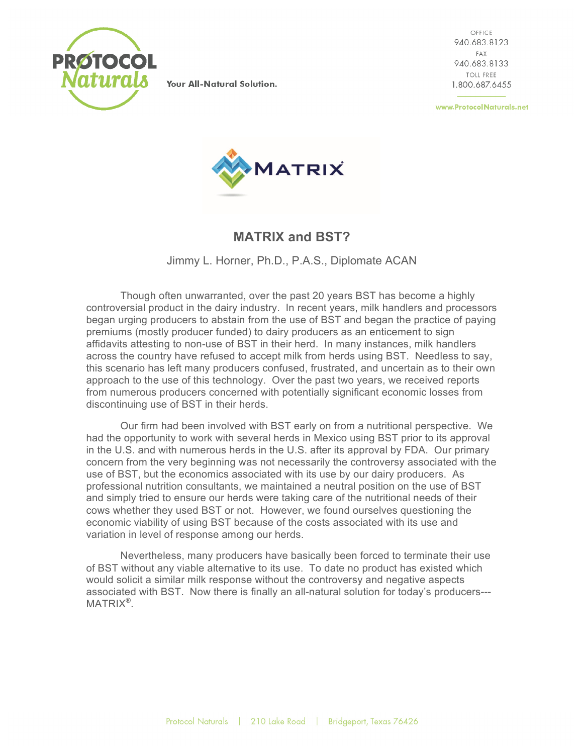

Your All-Natural Solution.

OFFICE 940.683.8123 FAX 940.683.8133 TOIL FREE. 1.800.687.6455

www.ProtocolNaturals.net



## **MATRIX and BST?**

Jimmy L. Horner, Ph.D., P.A.S., Diplomate ACAN

Though often unwarranted, over the past 20 years BST has become a highly controversial product in the dairy industry. In recent years, milk handlers and processors began urging producers to abstain from the use of BST and began the practice of paying premiums (mostly producer funded) to dairy producers as an enticement to sign affidavits attesting to non-use of BST in their herd. In many instances, milk handlers across the country have refused to accept milk from herds using BST. Needless to say, this scenario has left many producers confused, frustrated, and uncertain as to their own approach to the use of this technology. Over the past two years, we received reports from numerous producers concerned with potentially significant economic losses from discontinuing use of BST in their herds.

Our firm had been involved with BST early on from a nutritional perspective. We had the opportunity to work with several herds in Mexico using BST prior to its approval in the U.S. and with numerous herds in the U.S. after its approval by FDA. Our primary concern from the very beginning was not necessarily the controversy associated with the use of BST, but the economics associated with its use by our dairy producers. As professional nutrition consultants, we maintained a neutral position on the use of BST and simply tried to ensure our herds were taking care of the nutritional needs of their cows whether they used BST or not. However, we found ourselves questioning the economic viability of using BST because of the costs associated with its use and variation in level of response among our herds.

Nevertheless, many producers have basically been forced to terminate their use of BST without any viable alternative to its use. To date no product has existed which would solicit a similar milk response without the controversy and negative aspects associated with BST. Now there is finally an all-natural solution for today's producers--- MATRIX®.